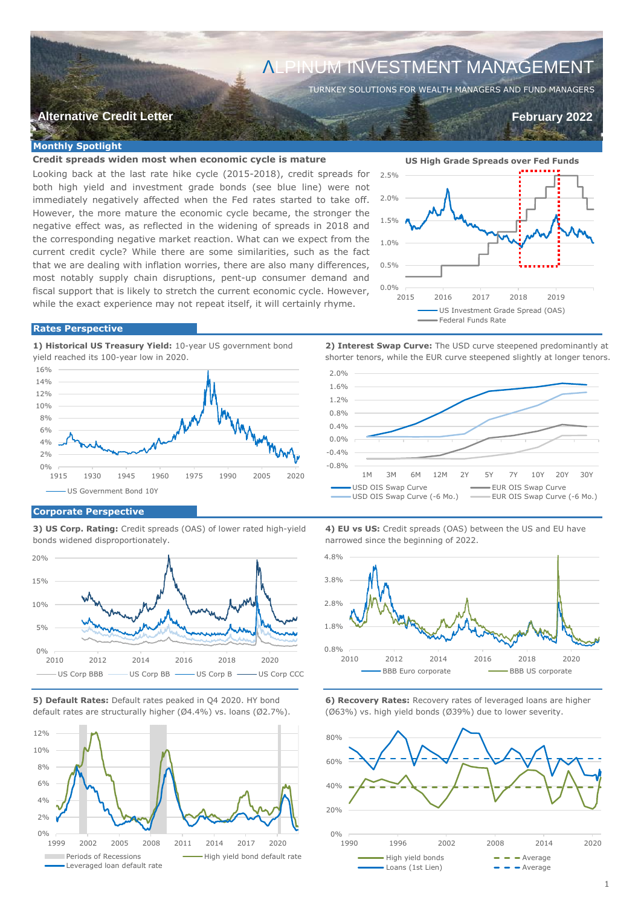# ΛLPINUM INVESTMENT MANAGEMENT

TURNKEY SOLUTIONS FOR WEALTH MANAGERS AND FUND MANAGERS

# **Alternative Credit Letter February 2022**

 **0.63 (E)** 

## **Monthly Spotlight**

# **Credit spreads widen most when economic cycle is mature**

Looking back at the last rate hike cycle (2015-2018), credit spreads for both high yield and investment grade bonds (see blue line) were not immediately negatively affected when the Fed rates started to take off. However, the more mature the economic cycle became, the stronger the negative effect was, as reflected in the widening of spreads in 2018 and the corresponding negative market reaction. What can we expect from the current credit cycle? While there are some similarities, such as the fact that we are dealing with inflation worries, there are also many differences, most notably supply chain disruptions, pent-up consumer demand and fiscal support that is likely to stretch the current economic cycle. However, while the exact experience may not repeat itself, it will certainly rhyme.



#### **Rates Perspective**

**1) Historical US Treasury Yield:** 10-year US government bond **2) Interest Swap Curve:** The USD curve steepened predominantly at yield reached its 100-year low in 2020. shorter tenors, while the EUR curve steepened slightly at longer tenors.



1.6%

2.0%



## **Corporate Perspective**

bonds widened disproportionately. https://www.marrowed since the beginning of 2022.







**3) US Corp. Rating:** Credit spreads (OAS) of lower rated high-yield **4) EU vs US:** Credit spreads (OAS) between the US and EU have



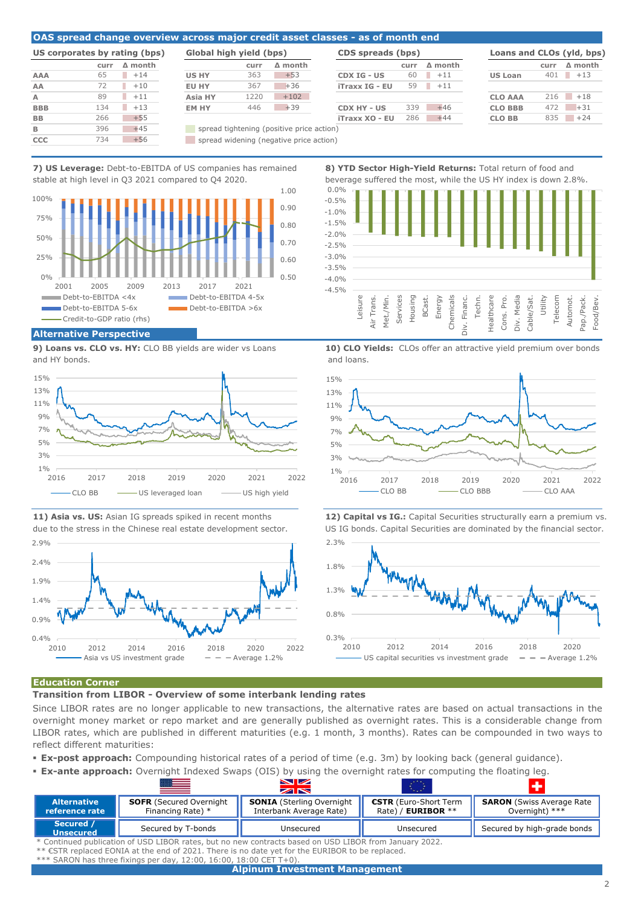#### **OAS spread change overview across major credit asset classes - as of month end**

| US corporates by rating (bps) |              |                |  |  |
|-------------------------------|--------------|----------------|--|--|
|                               | <b>CULLE</b> | $\Delta$ month |  |  |
| <b>AAA</b>                    | 65           | $+14$          |  |  |
| AA                            | 72           | $+10$          |  |  |
| A                             | 89           | $+11$          |  |  |
| <b>BBB</b>                    | 134          | $+13$          |  |  |
| BB                            | 266          | $+55$          |  |  |
| B                             | 396          | $+45$          |  |  |
| ccc                           | 734          | $+56$          |  |  |

| US corporates by rating (bps) |      |                | Global high yield (bps) |      |                | <b>CDS</b> spreads |
|-------------------------------|------|----------------|-------------------------|------|----------------|--------------------|
|                               | curr | $\Delta$ month |                         | curr | $\Delta$ month |                    |
| AAA                           | 65   | $+14$          | <b>US HY</b>            | 363  | $+53$          | CDX IG - US        |
| AΑ                            | 72   | $+10$          | <b>EU HY</b>            | 367  | $+36$          | iTraxx IG - EU     |
| A                             | 89   | $+11$          | <b>Asia HY</b>          | 1220 | $+102$         |                    |
| <b>BBB</b>                    | 134  | $+13$          | <b>EM HY</b>            | 446  | $+39$          | <b>CDX HY - US</b> |
| <b>DD</b>                     | 266  | $+55$          |                         |      |                | $Tr2 VV 1 = Fl$    |

|            |                      | US corporates by rating (bps) | Global high yield (bps) |      |                | CDS spreads (bps)  |      |                |                |      | Loans and CLOs (yld, bps) |
|------------|----------------------|-------------------------------|-------------------------|------|----------------|--------------------|------|----------------|----------------|------|---------------------------|
|            | curr                 | $\Delta$ month                |                         | curr | $\Delta$ month |                    | curr | $\Delta$ month |                | curr | $\Delta$ month            |
| AAA        | 65                   | $+14$                         | <b>US HY</b>            | 363  | $+53$          | <b>CDX IG - US</b> | 60   | $+11$          | <b>US Loan</b> |      | $401 + 13$                |
| AА         |                      | $+10$                         | EU HY                   | 367  | $+36$          | iTraxx IG - EU     | 59   | $+11$          |                |      |                           |
| A          | 89                   | $+11$<br>٠                    | Asia HY                 | 1220 | $+102$         |                    |      |                | <b>CLO AAA</b> |      | $216 + 18$                |
| <b>BBB</b> | 134                  | $+13$<br>ш                    | EM HY                   | 446  | $+39$          | CDX HY - US        | 339  | $+46$          | <b>CLO BBB</b> | 472  | $+31$                     |
| <b>BB</b>  | 266                  | $+55$                         |                         |      |                | iTraxx XO - EU     | 286  | $+44$          | <b>CLO BB</b>  | 835  | $+24$                     |
|            | $\sim$ $\sim$ $\sim$ |                               |                         |      |                |                    |      |                |                |      |                           |

|       | Loans and CLOs (yld, bps) |      |                |
|-------|---------------------------|------|----------------|
| nonth |                           | curr | $\Delta$ month |
| $+11$ | <b>US Loan</b>            | 401  | $+13$          |
| $+11$ |                           |      |                |
|       | <b>CLO AAA</b>            | 216  | $+18$          |
| $+46$ | <b>CLO BBB</b>            | 472  | $+31$          |
| $+44$ | <b>CLO BB</b>             | 835  | $+24$          |
|       |                           |      |                |

Utility Telecom Automot.

**B** spread tightening (positive price action) **CCC** spread widening (negative price action)

**7) US Leverage:** Debt-to-EBITDA of US companies has remained **8) YTD Sector High-Yield Returns:** Total return of food and stable at high level in Q3 2021 compared to Q4 2020. beverage suffered the most, while the US HY index is down 2.8%.



**9) Loans vs. CLO vs. HY:** CLO BB yields are wider vs Loans **10) CLO Yields:** CLOs offer an attractive yield premium over bonds and HY bonds. **and HY bonds**,  $\alpha$  and loans.







Air Trans. Div. Media **Chemicals** Div. Financ. Healthcare Cons. Pro. Cable/Sat. Pap./Pack. Food/Bev.  $\overline{\phantom{a}}$ 

Financ.

Techn.



**11) Asia vs. US:** Asian IG spreads spiked in recent months **12) Capital vs IG.:** Capital Securities structurally earn a premium vs. due to the stress in the Chinese real estate development sector. US IG bonds. Capital Securities are dominated by the financial sector.



#### **Education Corner**

**Transition from LIBOR - Overview of some interbank lending rates**

Since LIBOR rates are no longer applicable to new transactions, the alternative rates are based on actual transactions in the overnight money market or repo market and are generally published as overnight rates. This is a considerable change from LIBOR rates, which are published in different maturities (e.g. 1 month, 3 months). Rates can be compounded in two ways to reflect different maturities:

 $-4.5%$  $-4.0%$ -3.5% -3.0%  $-2.5%$  $-2.0%$ -1.5% -1.0%  $-0.5%$ 0.0%

Leisure

Met./Min. **Services** Housing BCast. Energy

- **Ex-post approach:** Compounding historical rates of a period of time (e.g. 3m) by looking back (general guidance).
- **Ex-ante approach:** Overnight Indexed Swaps (OIS) by using the overnight rates for computing the floating leg.  $\times$ **Alternative SOFR** (Secured Overnight **SONIA** (Sterling Overnight **|| €STR** (Euro-Short Term **|| SARON** (Swiss Average Rate **reference rate** Financing Rate) \* Interbank Average Rate) Rate) / **EURIBOR** \*\* Overnight) \*\*\*

| reference rate                                                                                            | Financing Rate) *  | Interbank Average Rate) | Rate) / <b>EURIBOR</b> $**$ | Overnight) $***$            |  |  |
|-----------------------------------------------------------------------------------------------------------|--------------------|-------------------------|-----------------------------|-----------------------------|--|--|
| Secured /<br><b>Unsecured</b>                                                                             | Secured by T-bonds | Unsecured               | Unsecured                   | Secured by high-grade bonds |  |  |
| * Continued publication of USD LIBOR rates, but no new contracts based on USD LIBOR from January 2022.    |                    |                         |                             |                             |  |  |
| ** $\epsilon$ STR replaced EONIA at the end of 2021. There is no date yet for the EURIBOR to be replaced. |                    |                         |                             |                             |  |  |
| $***$ SARON has three fixings per day, 12:00, 16:00, 18:00 CET T+0).                                      |                    |                         |                             |                             |  |  |

# **Alpinum Investment Management**